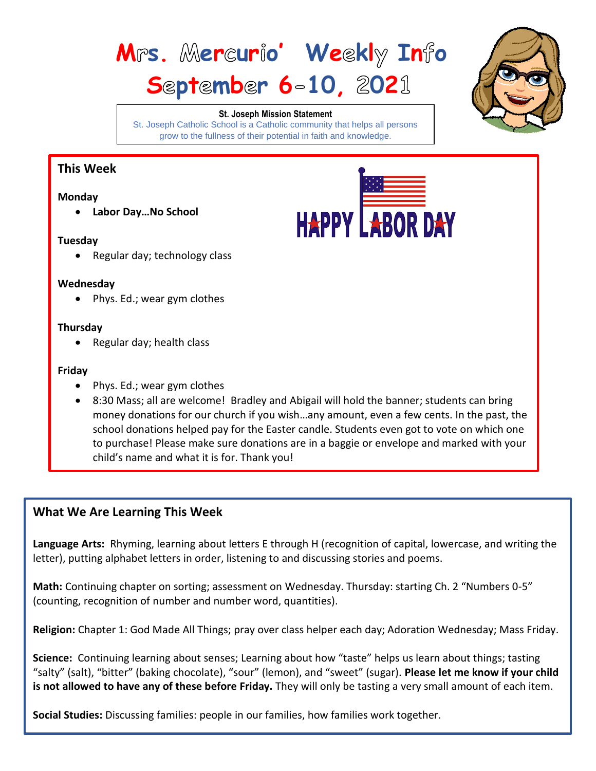



#### **St. Joseph Mission Statement** St. Joseph Catholic School is a Catholic community that helps all persons grow to the fullness of their potential in faith and knowledge.

## **This Week**

### **Monday**

• **Labor Day…No School**

#### **Tuesday**

• Regular day; technology class

### **Wednesday**

• Phys. Ed.; wear gym clothes

### **Thursday**

• Regular day; health class

### **Friday**

- Phys. Ed.; wear gym clothes
- 8:30 Mass; all are welcome! Bradley and Abigail will hold the banner; students can bring money donations for our church if you wish…any amount, even a few cents. In the past, the school donations helped pay for the Easter candle. Students even got to vote on which one to purchase! Please make sure donations are in a baggie or envelope and marked with your child's name and what it is for. Thank you!

## **What We Are Learning This Week**

**Language Arts:** Rhyming, learning about letters E through H (recognition of capital, lowercase, and writing the letter), putting alphabet letters in order, listening to and discussing stories and poems.

**Math:** Continuing chapter on sorting; assessment on Wednesday. Thursday: starting Ch. 2 "Numbers 0-5" (counting, recognition of number and number word, quantities).

**Religion:** Chapter 1: God Made All Things; pray over class helper each day; Adoration Wednesday; Mass Friday.

**Science:** Continuing learning about senses; Learning about how "taste" helps us learn about things; tasting "salty" (salt), "bitter" (baking chocolate), "sour" (lemon), and "sweet" (sugar). **Please let me know if your child is not allowed to have any of these before Friday.** They will only be tasting a very small amount of each item.

**Social Studies:** Discussing families: people in our families, how families work together.